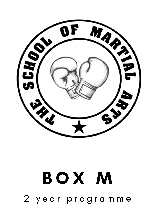## B O X M 2 year programme

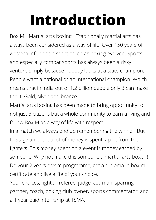## **Introduction**

Box M " Martial arts boxing". Traditionally martial arts has always been considered as a way of life. Over 150 years of western influence a sport called as boxing evolved. Sports and especially combat sports has always been a risky venture simply because nobody looks at a state champion. People want a national or an international champion. Which means that in India out of 1.2 billion people only 3 can make the it. Gold, silver and bronze.

Martial arts boxing has been made to bring opportunity to not just 3 citizens but a whole community to earn a living and follow Box M as a way of life with respect.

In a match we always end up remembering the winner. But to stage an event a lot of money is spent, apart from the fighters. This money spent on a event is money earned by someone. Why not make this someone a martial arts boxer ! Do your 2 years box m programme, get a diploma in box m certificate and live a life of your choice.

Your choices, fighter, referee, judge, cut-man, sparring partner, coach, boxing club owner, sports commentator, and a 1 year paid internship at TSMA.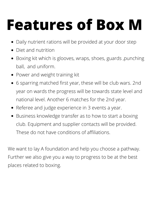## **Features of Box M**

- Daily nutrient rations will be provided at your door step
- Diet and nutrition
- Boxing kit which is glooves, wraps, shoes, guards, punching ball, and uniform.
- Power and weight training kit
- 6 sparring matched first year, these will be club wars. 2nd year on wards the progress will be towards state level and national level. Another 6 matches for the 2nd year.
- Referee and judge experience in 3 events a year.
- Business knowledge transfer as to how to start a boxing club. Equipment and supplier contacts will be provided. These do not have conditions of affiliations.

We want to lay A foundation and help you choose a pathway. Further we also give you a way to progress to be at the best places related to boxing.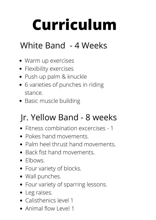# **Curriculum**

## White Band - 4 Weeks

- Warm up exercises
- **•** Flexibility exercises
- Push up palm & knuckle
- 6 varieties of punches in riding stance.
- Basic muscle building

## Jr. Yellow Band - 8 weeks

- Fitness combination excercises 1
- Pokes hand movements.
- Palm heel thrust hand movements.
- Back fist hand movements.
- Elbows.
- Four variety of blocks.
- Wall punches.
- Four variety of sparring lessons.
- Leg raises.
- Calisthenics level 1
- Animal flow Level 1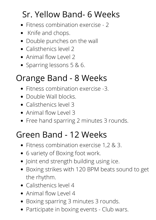## Sr. Yellow Band- 6 Weeks

- Fitness combination exercise 2
- Knife and chops.
- Double punches on the wall
- Calisthenics level 2
- Animal flow Level 2
- Sparring lessons 5 & 6.

#### Orange Band - 8 Weeks

- Fitness combination exercise -3.
- Double Wall blocks.
- Calisthenics level 3
- Animal flow Level 3
- Free hand sparring 2 minutes 3 rounds.

#### Green Band - 12 Weeks

- Fitness combination exercise 1,2 & 3.
- 6 variety of Boxing foot work.
- Joint end strength building using ice.
- Boxing strikes with 120 BPM beats sound to get the rhythm.
- Calisthenics level 4
- Animal flow Level 4
- Boxing sparring 3 minutes 3 rounds.
- Participate in boxing events Club wars.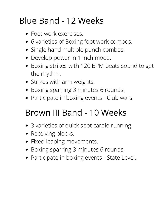## Blue Band - 12 Weeks

- Foot work exercises.
- 6 varieties of Boxing foot work combos.
- Single hand multiple punch combos.
- Develop power in 1 inch mode.
- Boxing strikes with 120 BPM beats sound to get the rhythm.
- Strikes with arm weights.
- Boxing sparring 3 minutes 6 rounds.
- Participate in boxing events Club wars.

#### Brown III Band - 10 Weeks

- 3 varieties of quick spot cardio running.
- Receiving blocks.
- Fixed leaping movements.
- Boxing sparring 3 minutes 6 rounds.
- Participate in boxing events State Level.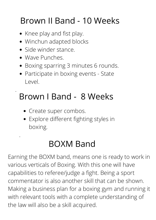### Brown II Band - 10 Weeks

- Knee play and fist play.
- Winchun adapted blocks
- Side winder stance.
- Wave Punches.

.

.

- Boxing sparring 3 minutes 6 rounds.
- Participate in boxing events State Level.

## Brown I Band - 8 Weeks

- Create super combos.
- Explore different fighting styles in boxing.

#### BOXM Band

Earning the BOXM band, means one is ready to work in various verticals of Boxing. With this one will have capabilities to referee/judge a fight. Being a sport commentator is also another skill that can be shown. Making a business plan for a boxing gym and running it with relevant tools with a complete understanding of the law will also be a skill acquired.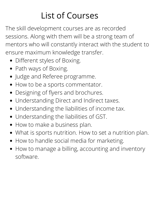## List of Courses

The skill development courses are as recorded sessions. Along with them will be a strong team of mentors who will constantly interact with the student to ensure maximum knowledge transfer.

- Different styles of Boxing.
- Path ways of Boxing.
- Judge and Referee programme.
- How to be a sports commentator.
- Designing of flyers and brochures.
- Understanding Direct and Indirect taxes.
- Understanding the liabilities of income tax.
- Understanding the liabilities of GST.
- How to make a business plan.
- What is sports nutrition. How to set a nutrition plan.
- How to handle social media for marketing.
- How to manage a billing, accounting and inventory software.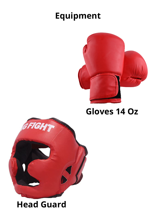### **Equipment**



**Gloves 14 Oz**



#### **Head Guard**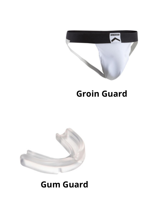

#### **Groin Guard**



#### **Gum Guard**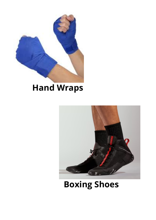

#### **Hand Wraps**



#### **Boxing Shoes**